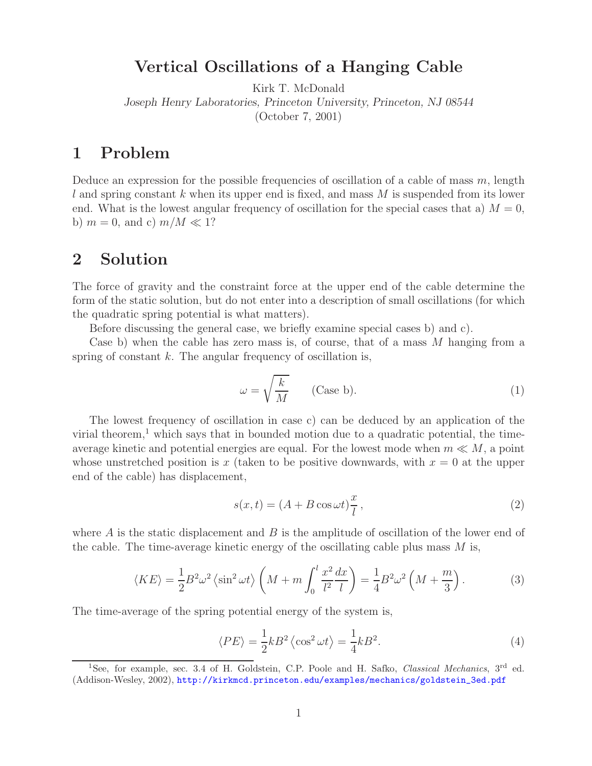**Vertical Oscillations of a Hanging Cable** Kirk T. McDonald

*Joseph Henry Laboratories, Princeton University, Princeton, NJ 08544*

(October 7, 2001)

Deduce an expression for the possible frequencies of oscillation of a cable of mass  $m$ , length l and spring constant k when its upper end is fixed, and mass  $M$  is suspended from its lower end. What is the lowest angular frequency of oscillation for the special cases that a)  $M = 0$ , b)  $m = 0$ , and c)  $m/M \ll 1$ ?

## **2 Solution**

The force of gravity and the constraint force at the upper end of the cable determine the form of the static solution, but do not enter into a description of small oscillations (for which the quadratic spring potential is what matters).

Before discussing the general case, we briefly examine special cases b) and c).

Case b) when the cable has zero mass is, of course, that of a mass M hanging from a spring of constant  $k$ . The angular frequency of oscillation is,

$$
\omega = \sqrt{\frac{k}{M}} \qquad \text{(Case b).} \tag{1}
$$

The lowest frequency of oscillation in case c) can be deduced by an application of the virial theorem,<sup>1</sup> which says that in bounded motion due to a quadratic potential, the timeaverage kinetic and potential energies are equal. For the lowest mode when  $m \ll M$ , a point whose unstretched position is x (taken to be positive downwards, with  $x = 0$  at the upper end of the cable) has displacement,

$$
s(x,t) = (A + B\cos\omega t)\frac{x}{l},
$$
\n(2)

where  $\vec{A}$  is the static displacement and  $\vec{B}$  is the amplitude of oscillation of the lower end of the cable. The time-average kinetic energy of the oscillating cable plus mass  $M$  is,

$$
\langle KE \rangle = \frac{1}{2} B^2 \omega^2 \left\langle \sin^2 \omega t \right\rangle \left( M + m \int_0^l \frac{x^2}{l^2} \frac{dx}{l} \right) = \frac{1}{4} B^2 \omega^2 \left( M + \frac{m}{3} \right). \tag{3}
$$

The time-average of the spring potential energy of the system is,

$$
\langle PE \rangle = \frac{1}{2}kB^2 \langle \cos^2 \omega t \rangle = \frac{1}{4}kB^2.
$$
 (4)

<sup>&</sup>lt;sup>1</sup>See, for example, sec. 3.4 of H. Goldstein, C.P. Poole and H. Safko, *Classical Mechanics*, 3<sup>rd</sup> ed. (Addison-Wesley, 2002), http://kirkmcd.princeton.edu/examples/mechanics/goldstein\_3ed.pdf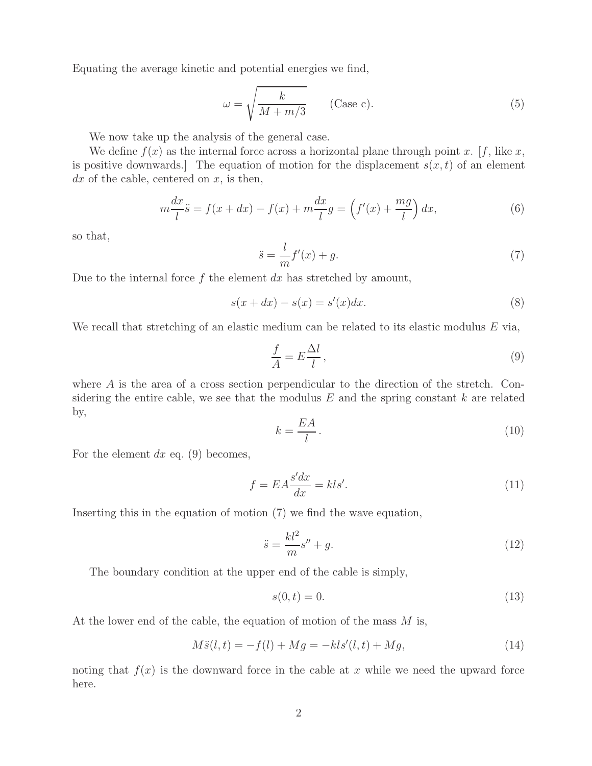Equating the average kinetic and potential energies we find,

$$
\omega = \sqrt{\frac{k}{M + m/3}} \qquad \text{(Case c).} \tag{5}
$$

We now take up the analysis of the general case.

We define  $f(x)$  as the internal force across a horizontal plane through point x. [f, like x, is positive downwards. The equation of motion for the displacement  $s(x, t)$  of an element  $dx$  of the cable, centered on  $x$ , is then,

$$
m\frac{dx}{l}\ddot{s} = f(x+dx) - f(x) + m\frac{dx}{l}g = \left(f'(x) + \frac{mg}{l}\right)dx,\tag{6}
$$

so that,

$$
\ddot{s} = \frac{l}{m}f'(x) + g.\tag{7}
$$

Due to the internal force  $f$  the element  $dx$  has stretched by amount,

$$
s(x+dx) - s(x) = s'(x)dx.
$$
\n(8)

We recall that stretching of an elastic medium can be related to its elastic modulus  $E$  via,

$$
\frac{f}{A} = E\frac{\Delta l}{l},\tag{9}
$$

where A is the area of a cross section perpendicular to the direction of the stretch. Considering the entire cable, we see that the modulus  $E$  and the spring constant  $k$  are related by,

$$
k = \frac{EA}{l} \,. \tag{10}
$$

For the element  $dx$  eq. (9) becomes,

$$
f = EA \frac{s'dx}{dx} = kls'.\tag{11}
$$

Inserting this in the equation of motion (7) we find the wave equation,

$$
\ddot{s} = \frac{kl^2}{m}s'' + g.\tag{12}
$$

The boundary condition at the upper end of the cable is simply,

$$
s(0,t) = 0.\t(13)
$$

At the lower end of the cable, the equation of motion of the mass M is,

$$
M\ddot{s}(l,t) = -f(l) + Mg = -kls'(l,t) + Mg,
$$
\n(14)

noting that  $f(x)$  is the downward force in the cable at x while we need the upward force here.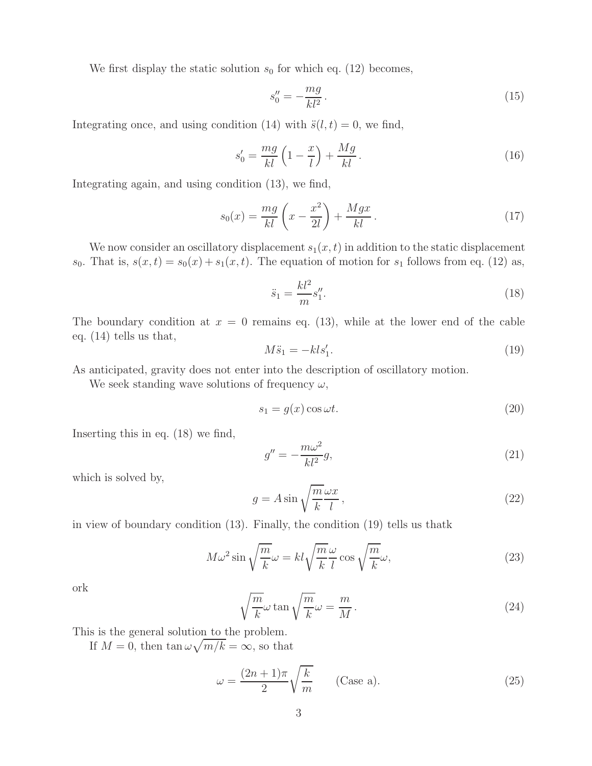We first display the static solution  $s_0$  for which eq. (12) becomes,

$$
s_0'' = -\frac{mg}{kl^2}.\tag{15}
$$

Integrating once, and using condition (14) with  $\ddot{s}(l, t) = 0$ , we find,

$$
s_0' = \frac{mg}{kl} \left( 1 - \frac{x}{l} \right) + \frac{Mg}{kl} \,. \tag{16}
$$

Integrating again, and using condition (13), we find,

$$
s_0(x) = \frac{mg}{kl} \left( x - \frac{x^2}{2l} \right) + \frac{Mgx}{kl} \,. \tag{17}
$$

We now consider an oscillatory displacement  $s_1(x, t)$  in addition to the static displacement  $s_0$ . That is,  $s(x,t) = s_0(x) + s_1(x,t)$ . The equation of motion for  $s_1$  follows from eq. (12) as,

$$
\ddot{s}_1 = \frac{kl^2}{m} s_1''.
$$
\n(18)

The boundary condition at  $x = 0$  remains eq. (13), while at the lower end of the cable eq. (14) tells us that,

$$
M\ddot{s}_1 = -kls'_1. \tag{19}
$$

As anticipated, gravity does not enter into the description of oscillatory motion.

We seek standing wave solutions of frequency  $\omega$ ,

$$
s_1 = g(x)\cos\omega t. \tag{20}
$$

Inserting this in eq. (18) we find,

$$
g'' = -\frac{m\omega^2}{kl^2}g,\tag{21}
$$

which is solved by,

$$
g = A \sin \sqrt{\frac{m}{k}} \frac{\omega x}{l},\qquad(22)
$$

in view of boundary condition (13). Finally, the condition (19) tells us thatk

$$
M\omega^2 \sin\sqrt{\frac{m}{k}}\omega = kl\sqrt{\frac{m}{k}}\frac{\omega}{l}\cos\sqrt{\frac{m}{k}}\omega,
$$
\n(23)

ork

$$
\sqrt{\frac{m}{k}}\omega \tan \sqrt{\frac{m}{k}}\omega = \frac{m}{M}.
$$
\n(24)

This is the general solution to the problem.

If  $M = 0$ , then  $\tan \omega \sqrt{m/k} = \infty$ , so that

$$
\omega = \frac{(2n+1)\pi}{2} \sqrt{\frac{k}{m}} \qquad \text{(Case a).} \tag{25}
$$